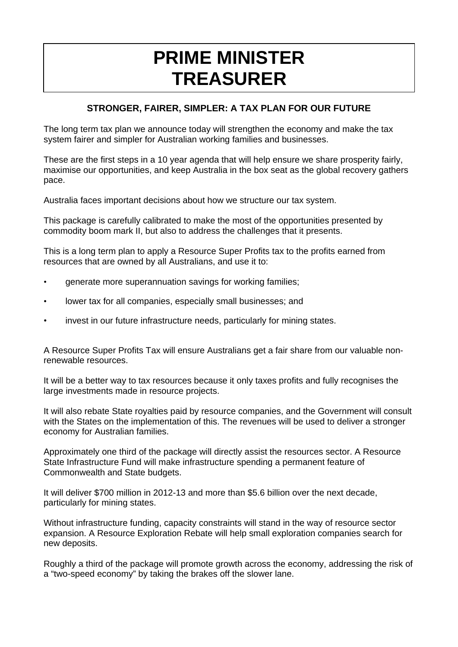## **PRIME MINISTER TREASURER**

## **STRONGER, FAIRER, SIMPLER: A TAX PLAN FOR OUR FUTURE**

The long term tax plan we announce today will strengthen the economy and make the tax system fairer and simpler for Australian working families and businesses.

These are the first steps in a 10 year agenda that will help ensure we share prosperity fairly, maximise our opportunities, and keep Australia in the box seat as the global recovery gathers pace.

Australia faces important decisions about how we structure our tax system.

This package is carefully calibrated to make the most of the opportunities presented by commodity boom mark II, but also to address the challenges that it presents.

This is a long term plan to apply a Resource Super Profits tax to the profits earned from resources that are owned by all Australians, and use it to:

- generate more superannuation savings for working families;
- lower tax for all companies, especially small businesses; and
- invest in our future infrastructure needs, particularly for mining states.

A Resource Super Profits Tax will ensure Australians get a fair share from our valuable nonrenewable resources.

It will be a better way to tax resources because it only taxes profits and fully recognises the large investments made in resource projects.

It will also rebate State royalties paid by resource companies, and the Government will consult with the States on the implementation of this. The revenues will be used to deliver a stronger economy for Australian families.

Approximately one third of the package will directly assist the resources sector. A Resource State Infrastructure Fund will make infrastructure spending a permanent feature of Commonwealth and State budgets.

It will deliver \$700 million in 2012-13 and more than \$5.6 billion over the next decade, particularly for mining states.

Without infrastructure funding, capacity constraints will stand in the way of resource sector expansion. A Resource Exploration Rebate will help small exploration companies search for new deposits.

Roughly a third of the package will promote growth across the economy, addressing the risk of a "two-speed economy" by taking the brakes off the slower lane.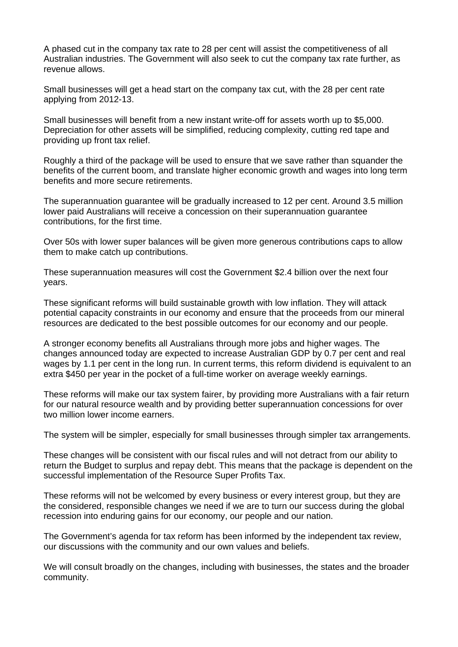A phased cut in the company tax rate to 28 per cent will assist the competitiveness of all Australian industries. The Government will also seek to cut the company tax rate further, as revenue allows.

Small businesses will get a head start on the company tax cut, with the 28 per cent rate applying from 2012-13.

Small businesses will benefit from a new instant write-off for assets worth up to \$5,000. Depreciation for other assets will be simplified, reducing complexity, cutting red tape and providing up front tax relief.

Roughly a third of the package will be used to ensure that we save rather than squander the benefits of the current boom, and translate higher economic growth and wages into long term benefits and more secure retirements.

The superannuation guarantee will be gradually increased to 12 per cent. Around 3.5 million lower paid Australians will receive a concession on their superannuation guarantee contributions, for the first time.

Over 50s with lower super balances will be given more generous contributions caps to allow them to make catch up contributions.

These superannuation measures will cost the Government \$2.4 billion over the next four years.

These significant reforms will build sustainable growth with low inflation. They will attack potential capacity constraints in our economy and ensure that the proceeds from our mineral resources are dedicated to the best possible outcomes for our economy and our people.

A stronger economy benefits all Australians through more jobs and higher wages. The changes announced today are expected to increase Australian GDP by 0.7 per cent and real wages by 1.1 per cent in the long run. In current terms, this reform dividend is equivalent to an extra \$450 per year in the pocket of a full-time worker on average weekly earnings.

These reforms will make our tax system fairer, by providing more Australians with a fair return for our natural resource wealth and by providing better superannuation concessions for over two million lower income earners.

The system will be simpler, especially for small businesses through simpler tax arrangements.

These changes will be consistent with our fiscal rules and will not detract from our ability to return the Budget to surplus and repay debt. This means that the package is dependent on the successful implementation of the Resource Super Profits Tax.

These reforms will not be welcomed by every business or every interest group, but they are the considered, responsible changes we need if we are to turn our success during the global recession into enduring gains for our economy, our people and our nation.

The Government's agenda for tax reform has been informed by the independent tax review, our discussions with the community and our own values and beliefs.

We will consult broadly on the changes, including with businesses, the states and the broader community.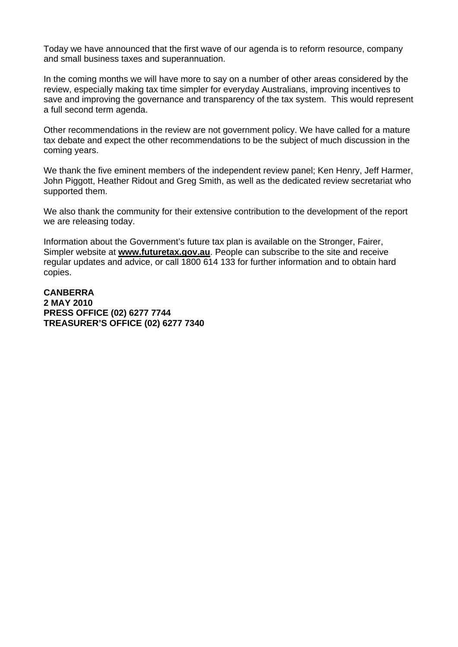Today we have announced that the first wave of our agenda is to reform resource, company and small business taxes and superannuation.

In the coming months we will have more to say on a number of other areas considered by the review, especially making tax time simpler for everyday Australians, improving incentives to save and improving the governance and transparency of the tax system. This would represent a full second term agenda.

Other recommendations in the review are not government policy. We have called for a mature tax debate and expect the other recommendations to be the subject of much discussion in the coming years.

We thank the five eminent members of the independent review panel; Ken Henry, Jeff Harmer, John Piggott, Heather Ridout and Greg Smith, as well as the dedicated review secretariat who supported them.

We also thank the community for their extensive contribution to the development of the report we are releasing today.

Information about the Government's future tax plan is available on the Stronger, Fairer, Simpler website at **www.futuretax.gov.au**. People can subscribe to the site and receive regular updates and advice, or call 1800 614 133 for further information and to obtain hard copies.

**CANBERRA 2 MAY 2010 PRESS OFFICE (02) 6277 7744 TREASURER'S OFFICE (02) 6277 7340**